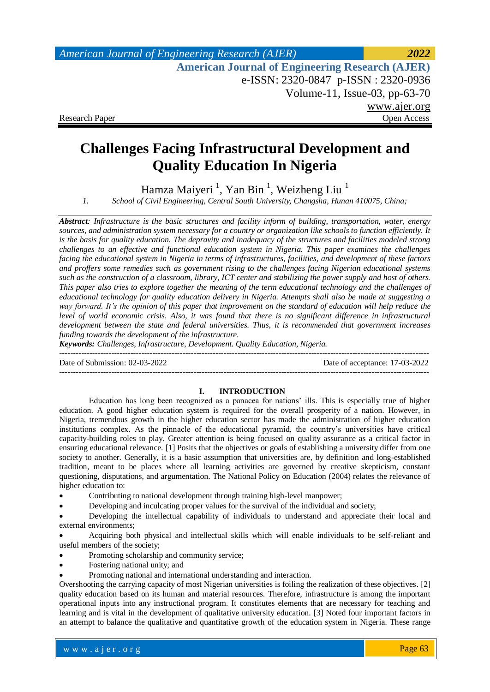# **Challenges Facing Infrastructural Development and Quality Education In Nigeria**

Hamza Maiyeri <sup>1</sup>, Yan Bin <sup>1</sup>, Weizheng Liu <sup>1</sup>

*1. School of Civil Engineering, Central South University, Changsha, Hunan 410075, China;*

*Abstract: Infrastructure is the basic structures and facility inform of building, transportation, water, energy sources, and administration system necessary for a country or organization like schools to function efficiently. It is the basis for quality education. The depravity and inadequacy of the structures and facilities modeled strong challenges to an effective and functional education system in Nigeria. This paper examines the challenges facing the educational system in Nigeria in terms of infrastructures, facilities, and development of these factors and proffers some remedies such as government rising to the challenges facing Nigerian educational systems such as the construction of a classroom, library, ICT center and stabilizing the power supply and host of others. This paper also tries to explore together the meaning of the term educational technology and the challenges of educational technology for quality education delivery in Nigeria. Attempts shall also be made at suggesting a way forward. It's the opinion of this paper that improvement on the standard of education will help reduce the level of world economic crisis. Also, it was found that there is no significant difference in infrastructural development between the state and federal universities. Thus, it is recommended that government increases funding towards the development of the infrastructure.*

*Keywords: Challenges, Infrastructure, Development. Quality Education, Nigeria.*

--------------------------------------------------------------------------------------------------------------------------------------- Date of Submission: 02-03-2022 Date of acceptance: 17-03-2022

---------------------------------------------------------------------------------------------------------------------------------------

**I. INTRODUCTION** Education has long been recognized as a panacea for nations' ills. This is especially true of higher education. A good higher education system is required for the overall prosperity of a nation. However, in Nigeria, tremendous growth in the higher education sector has made the administration of higher education institutions complex. As the pinnacle of the educational pyramid, the country's universities have critical capacity-building roles to play. Greater attention is being focused on quality assurance as a critical factor in ensuring educational relevance. [\[1\]](#page-6-0) Posits that the objectives or goals of establishing a university differ from one society to another. Generally, it is a basic assumption that universities are, by definition and long-established tradition, meant to be places where all learning activities are governed by creative skepticism, constant questioning, disputations, and argumentation. The National Policy on Education (2004) relates the relevance of higher education to:

- Contributing to national development through training high-level manpower;
- Developing and inculcating proper values for the survival of the individual and society;

 Developing the intellectual capability of individuals to understand and appreciate their local and external environments;

 Acquiring both physical and intellectual skills which will enable individuals to be self-reliant and useful members of the society;

- Promoting scholarship and community service;
- Fostering national unity; and
- Promoting national and international understanding and interaction.

Overshooting the carrying capacity of most Nigerian universities is foiling the realization of these objectives. [\[2\]](#page-6-1) quality education based on its human and material resources. Therefore, infrastructure is among the important operational inputs into any instructional program. It constitutes elements that are necessary for teaching and learning and is vital in the development of qualitative university education. [\[3\]](#page-6-2) Noted four important factors in an attempt to balance the qualitative and quantitative growth of the education system in Nigeria. These range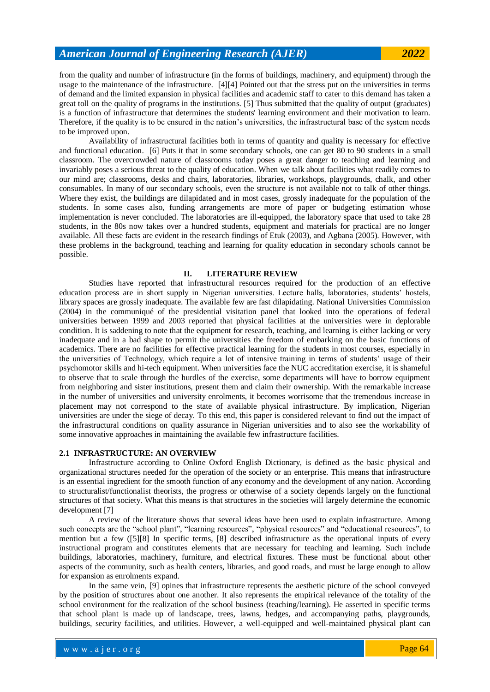from the quality and number of infrastructure (in the forms of buildings, machinery, and equipment) through the usage to the maintenance of the infrastructure. [\[4\]\[4\]](#page-6-3) Pointed out that the stress put on the universities in terms of demand and the limited expansion in physical facilities and academic staff to cater to this demand has taken a great toll on the quality of programs in the institutions. [\[5\]](#page-6-4) Thus submitted that the quality of output (graduates) is a function of infrastructure that determines the students' learning environment and their motivation to learn. Therefore, if the quality is to be ensured in the nation's universities, the infrastructural base of the system needs to be improved upon.

Availability of infrastructural facilities both in terms of quantity and quality is necessary for effective and functional education. [\[6\]](#page-6-5) Puts it that in some secondary schools, one can get 80 to 90 students in a small classroom. The overcrowded nature of classrooms today poses a great danger to teaching and learning and invariably poses a serious threat to the quality of education. When we talk about facilities what readily comes to our mind are; classrooms, desks and chairs, laboratories, libraries, workshops, playgrounds, chalk, and other consumables. In many of our secondary schools, even the structure is not available not to talk of other things. Where they exist, the buildings are dilapidated and in most cases, grossly inadequate for the population of the students. In some cases also, funding arrangements are more of paper or budgeting estimation whose implementation is never concluded. The laboratories are ill-equipped, the laboratory space that used to take 28 students, in the 80s now takes over a hundred students, equipment and materials for practical are no longer available. All these facts are evident in the research findings of Etuk (2003), and Agbana (2005). However, with these problems in the background, teaching and learning for quality education in secondary schools cannot be possible.

#### **II. LITERATURE REVIEW**

Studies have reported that infrastructural resources required for the production of an effective education process are in short supply in Nigerian universities. Lecture halls, laboratories, students' hostels, library spaces are grossly inadequate. The available few are fast dilapidating. National Universities Commission (2004) in the communiqué of the presidential visitation panel that looked into the operations of federal universities between 1999 and 2003 reported that physical facilities at the universities were in deplorable condition. It is saddening to note that the equipment for research, teaching, and learning is either lacking or very inadequate and in a bad shape to permit the universities the freedom of embarking on the basic functions of academics. There are no facilities for effective practical learning for the students in most courses, especially in the universities of Technology, which require a lot of intensive training in terms of students' usage of their psychomotor skills and hi-tech equipment. When universities face the NUC accreditation exercise, it is shameful to observe that to scale through the hurdles of the exercise, some departments will have to borrow equipment from neighboring and sister institutions, present them and claim their ownership. With the remarkable increase in the number of universities and university enrolments, it becomes worrisome that the tremendous increase in placement may not correspond to the state of available physical infrastructure. By implication, Nigerian universities are under the siege of decay. To this end, this paper is considered relevant to find out the impact of the infrastructural conditions on quality assurance in Nigerian universities and to also see the workability of some innovative approaches in maintaining the available few infrastructure facilities.

#### **2.1 INFRASTRUCTURE: AN OVERVIEW**

Infrastructure according to Online Oxford English Dictionary, is defined as the basic physical and organizational structures needed for the operation of the society or an enterprise. This means that infrastructure is an essential ingredient for the smooth function of any economy and the development of any nation. According to structuralist/functionalist theorists, the progress or otherwise of a society depends largely on the functional structures of that society. What this means is that structures in the societies will largely determine the economic development [\[7\]](#page-6-6)

A review of the literature shows that several ideas have been used to explain infrastructure. Among such concepts are the "school plant", "learning resources", "physical resources" and "educational resources", to mention but a few [\(\[5\]\[8\]](#page-6-4) In specific terms, [\[8\]](#page-7-0) described infrastructure as the operational inputs of every instructional program and constitutes elements that are necessary for teaching and learning. Such include buildings, laboratories, machinery, furniture, and electrical fixtures. These must be functional about other aspects of the community, such as health centers, libraries, and good roads, and must be large enough to allow for expansion as enrolments expand.

In the same vein, [\[9\]](#page-7-1) opines that infrastructure represents the aesthetic picture of the school conveyed by the position of structures about one another. It also represents the empirical relevance of the totality of the school environment for the realization of the school business (teaching/learning). He asserted in specific terms that school plant is made up of landscape, trees, lawns, hedges, and accompanying paths, playgrounds, buildings, security facilities, and utilities. However, a well-equipped and well-maintained physical plant can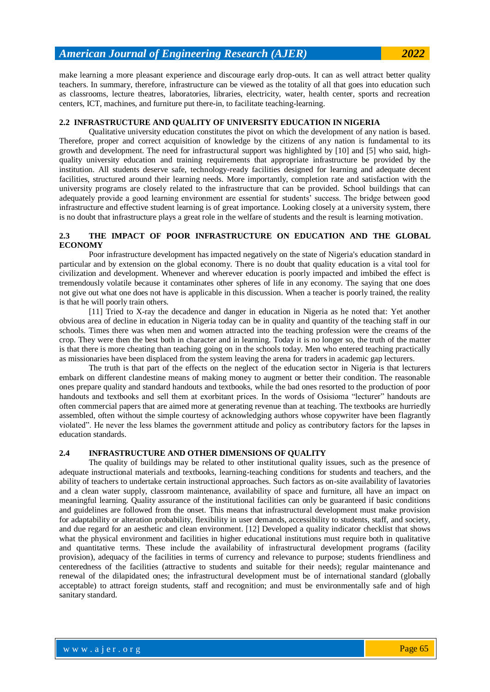make learning a more pleasant experience and discourage early drop-outs. It can as well attract better quality teachers. In summary, therefore, infrastructure can be viewed as the totality of all that goes into education such as classrooms, lecture theatres, laboratories, libraries, electricity, water, health center, sports and recreation centers, ICT, machines, and furniture put there-in, to facilitate teaching-learning.

#### **2.2 INFRASTRUCTURE AND QUALITY OF UNIVERSITY EDUCATION IN NIGERIA**

Qualitative university education constitutes the pivot on which the development of any nation is based. Therefore, proper and correct acquisition of knowledge by the citizens of any nation is fundamental to its growth and development. The need for infrastructural support was highlighted by [\[10\]](#page-7-2) and [\[5\]](#page-6-4) who said, highquality university education and training requirements that appropriate infrastructure be provided by the institution. All students deserve safe, technology-ready facilities designed for learning and adequate decent facilities, structured around their learning needs. More importantly, completion rate and satisfaction with the university programs are closely related to the infrastructure that can be provided. School buildings that can adequately provide a good learning environment are essential for students' success. The bridge between good infrastructure and effective student learning is of great importance. Looking closely at a university system, there is no doubt that infrastructure plays a great role in the welfare of students and the result is learning motivation.

### **2.3 THE IMPACT OF POOR INFRASTRUCTURE ON EDUCATION AND THE GLOBAL ECONOMY**

Poor infrastructure development has impacted negatively on the state of Nigeria's education standard in particular and by extension on the global economy. There is no doubt that quality education is a vital tool for civilization and development. Whenever and wherever education is poorly impacted and imbibed the effect is tremendously volatile because it contaminates other spheres of life in any economy. The saying that one does not give out what one does not have is applicable in this discussion. When a teacher is poorly trained, the reality is that he will poorly train others.

[\[11\]](#page-7-3) Tried to X-ray the decadence and danger in education in Nigeria as he noted that: Yet another obvious area of decline in education in Nigeria today can be in quality and quantity of the teaching staff in our schools. Times there was when men and women attracted into the teaching profession were the creams of the crop. They were then the best both in character and in learning. Today it is no longer so, the truth of the matter is that there is more cheating than teaching going on in the schools today. Men who entered teaching practically as missionaries have been displaced from the system leaving the arena for traders in academic gap lecturers.

The truth is that part of the effects on the neglect of the education sector in Nigeria is that lecturers embark on different clandestine means of making money to augment or better their condition. The reasonable ones prepare quality and standard handouts and textbooks, while the bad ones resorted to the production of poor handouts and textbooks and sell them at exorbitant prices. In the words of Osisioma "lecturer" handouts are often commercial papers that are aimed more at generating revenue than at teaching. The textbooks are hurriedly assembled, often without the simple courtesy of acknowledging authors whose copywriter have been flagrantly violated". He never the less blames the government attitude and policy as contributory factors for the lapses in education standards.

#### **2.4 INFRASTRUCTURE AND OTHER DIMENSIONS OF QUALITY**

The quality of buildings may be related to other institutional quality issues, such as the presence of adequate instructional materials and textbooks, learning-teaching conditions for students and teachers, and the ability of teachers to undertake certain instructional approaches. Such factors as on-site availability of lavatories and a clean water supply, classroom maintenance, availability of space and furniture, all have an impact on meaningful learning. Quality assurance of the institutional facilities can only be guaranteed if basic conditions and guidelines are followed from the onset. This means that infrastructural development must make provision for adaptability or alteration probability, flexibility in user demands, accessibility to students, staff, and society, and due regard for an aesthetic and clean environment. [\[12\]](#page-7-4) Developed a quality indicator checklist that shows what the physical environment and facilities in higher educational institutions must require both in qualitative and quantitative terms. These include the availability of infrastructural development programs (facility provision), adequacy of the facilities in terms of currency and relevance to purpose; students friendliness and centeredness of the facilities (attractive to students and suitable for their needs); regular maintenance and renewal of the dilapidated ones; the infrastructural development must be of international standard (globally acceptable) to attract foreign students, staff and recognition; and must be environmentally safe and of high sanitary standard.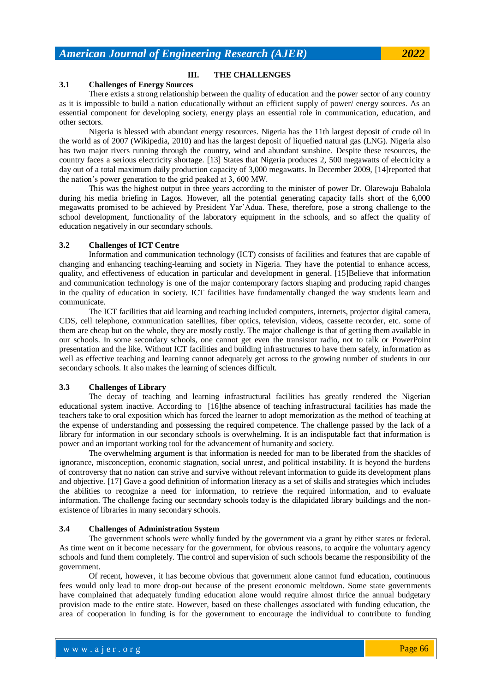#### **III. THE CHALLENGES**

#### **3.1 Challenges of Energy Sources**

There exists a strong relationship between the quality of education and the power sector of any country as it is impossible to build a nation educationally without an efficient supply of power/ energy sources. As an essential component for developing society, energy plays an essential role in communication, education, and other sectors.

Nigeria is blessed with abundant energy resources. Nigeria has the 11th largest deposit of crude oil in the world as of 2007 (Wikipedia, 2010) and has the largest deposit of liquefied natural gas (LNG). Nigeria also has two major rivers running through the country, wind and abundant sunshine. Despite these resources, the country faces a serious electricity shortage. [\[13\]](#page-7-5) States that Nigeria produces 2, 500 megawatts of electricity a day out of a total maximum daily production capacity of 3,000 megawatts. In December 2009, [\[14\]r](#page-7-6)eported that the nation's power generation to the grid peaked at 3, 600 MW.

This was the highest output in three years according to the minister of power Dr. Olarewaju Babalola during his media briefing in Lagos. However, all the potential generating capacity falls short of the 6,000 megawatts promised to be achieved by President Yar'Adua. These, therefore, pose a strong challenge to the school development, functionality of the laboratory equipment in the schools, and so affect the quality of education negatively in our secondary schools.

#### **3.2 Challenges of ICT Centre**

Information and communication technology (ICT) consists of facilities and features that are capable of changing and enhancing teaching-learning and society in Nigeria. They have the potential to enhance access, quality, and effectiveness of education in particular and development in general. [\[15\]B](#page-7-7)elieve that information and communication technology is one of the major contemporary factors shaping and producing rapid changes in the quality of education in society. ICT facilities have fundamentally changed the way students learn and communicate.

The ICT facilities that aid learning and teaching included computers, internets, projector digital camera, CDS, cell telephone, communication satellites, fiber optics, television, videos, cassette recorder, etc. some of them are cheap but on the whole, they are mostly costly. The major challenge is that of getting them available in our schools. In some secondary schools, one cannot get even the transistor radio, not to talk or PowerPoint presentation and the like. Without ICT facilities and building infrastructures to have them safely, information as well as effective teaching and learning cannot adequately get across to the growing number of students in our secondary schools. It also makes the learning of sciences difficult.

#### **3.3 Challenges of Library**

The decay of teaching and learning infrastructural facilities has greatly rendered the Nigerian educational system inactive. According to [\[16\]t](#page-7-8)he absence of teaching infrastructural facilities has made the teachers take to oral exposition which has forced the learner to adopt memorization as the method of teaching at the expense of understanding and possessing the required competence. The challenge passed by the lack of a library for information in our secondary schools is overwhelming. It is an indisputable fact that information is power and an important working tool for the advancement of humanity and society.

The overwhelming argument is that information is needed for man to be liberated from the shackles of ignorance, misconception, economic stagnation, social unrest, and political instability. It is beyond the burdens of controversy that no nation can strive and survive without relevant information to guide its development plans and objective. [\[17\]](#page-7-9) Gave a good definition of information literacy as a set of skills and strategies which includes the abilities to recognize a need for information, to retrieve the required information, and to evaluate information. The challenge facing our secondary schools today is the dilapidated library buildings and the nonexistence of libraries in many secondary schools.

#### **3.4 Challenges of Administration System**

The government schools were wholly funded by the government via a grant by either states or federal. As time went on it become necessary for the government, for obvious reasons, to acquire the voluntary agency schools and fund them completely. The control and supervision of such schools became the responsibility of the government.

Of recent, however, it has become obvious that government alone cannot fund education, continuous fees would only lead to more drop-out because of the present economic meltdown. Some state governments have complained that adequately funding education alone would require almost thrice the annual budgetary provision made to the entire state. However, based on these challenges associated with funding education, the area of cooperation in funding is for the government to encourage the individual to contribute to funding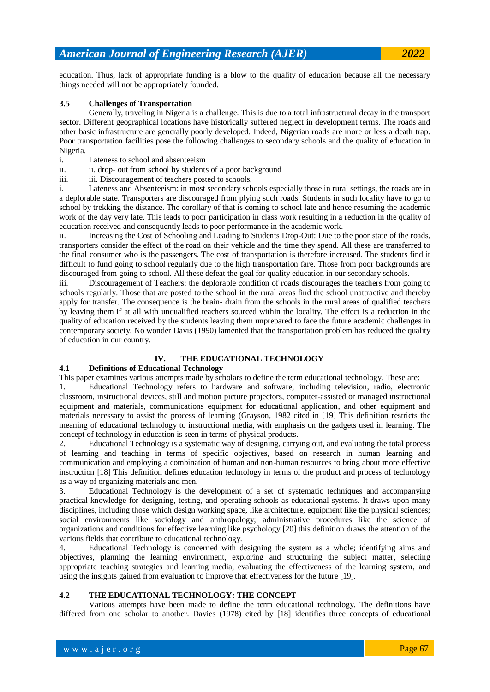education. Thus, lack of appropriate funding is a blow to the quality of education because all the necessary things needed will not be appropriately founded.

#### **3.5 Challenges of Transportation**

Generally, traveling in Nigeria is a challenge. This is due to a total infrastructural decay in the transport sector. Different geographical locations have historically suffered neglect in development terms. The roads and other basic infrastructure are generally poorly developed. Indeed, Nigerian roads are more or less a death trap. Poor transportation facilities pose the following challenges to secondary schools and the quality of education in Nigeria.

- i. Lateness to school and absenteeism
- ii. ii. drop- out from school by students of a poor background
- iii. iii. Discouragement of teachers posted to schools.

i. Lateness and Absenteeism: in most secondary schools especially those in rural settings, the roads are in a deplorable state. Transporters are discouraged from plying such roads. Students in such locality have to go to school by trekking the distance. The corollary of that is coming to school late and hence resuming the academic work of the day very late. This leads to poor participation in class work resulting in a reduction in the quality of education received and consequently leads to poor performance in the academic work.

ii. Increasing the Cost of Schooling and Leading to Students Drop-Out: Due to the poor state of the roads, transporters consider the effect of the road on their vehicle and the time they spend. All these are transferred to the final consumer who is the passengers. The cost of transportation is therefore increased. The students find it difficult to fund going to school regularly due to the high transportation fare. Those from poor backgrounds are discouraged from going to school. All these defeat the goal for quality education in our secondary schools.

iii. Discouragement of Teachers: the deplorable condition of roads discourages the teachers from going to schools regularly. Those that are posted to the school in the rural areas find the school unattractive and thereby apply for transfer. The consequence is the brain- drain from the schools in the rural areas of qualified teachers by leaving them if at all with unqualified teachers sourced within the locality. The effect is a reduction in the quality of education received by the students leaving them unprepared to face the future academic challenges in contemporary society. No wonder Davis (1990) lamented that the transportation problem has reduced the quality of education in our country.

# **IV. THE EDUCATIONAL TECHNOLOGY**

#### **4.1 Definitions of Educational Technology**

This paper examines various attempts made by scholars to define the term educational technology. These are:

1. Educational Technology refers to hardware and software, including television, radio, electronic classroom, instructional devices, still and motion picture projectors, computer-assisted or managed instructional equipment and materials, communications equipment for educational application, and other equipment and materials necessary to assist the process of learning (Grayson, 1982 cited in [\[19\]](#page-7-10) This definition restricts the meaning of educational technology to instructional media, with emphasis on the gadgets used in learning. The concept of technology in education is seen in terms of physical products.

2. Educational Technology is a systematic way of designing, carrying out, and evaluating the total process of learning and teaching in terms of specific objectives, based on research in human learning and communication and employing a combination of human and non-human resources to bring about more effective instruction [\[18\]](#page-7-11) This definition defines education technology in terms of the product and process of technology as a way of organizing materials and men.

3. Educational Technology is the development of a set of systematic techniques and accompanying practical knowledge for designing, testing, and operating schools as educational systems. It draws upon many disciplines, including those which design working space, like architecture, equipment like the physical sciences; social environments like sociology and anthropology; administrative procedures like the science of organizations and conditions for effective learning like psycholog[y \[20\]](#page-7-12) this definition draws the attention of the various fields that contribute to educational technology.

4. Educational Technology is concerned with designing the system as a whole; identifying aims and objectives, planning the learning environment, exploring and structuring the subject matter, selecting appropriate teaching strategies and learning media, evaluating the effectiveness of the learning system, and using the insights gained from evaluation to improve that effectiveness for the futur[e \[19\].](#page-7-10)

#### **4.2 THE EDUCATIONAL TECHNOLOGY: THE CONCEPT**

Various attempts have been made to define the term educational technology. The definitions have differed from one scholar to another. Davies (1978) cited by [\[18\]](#page-7-11) identifies three concepts of educational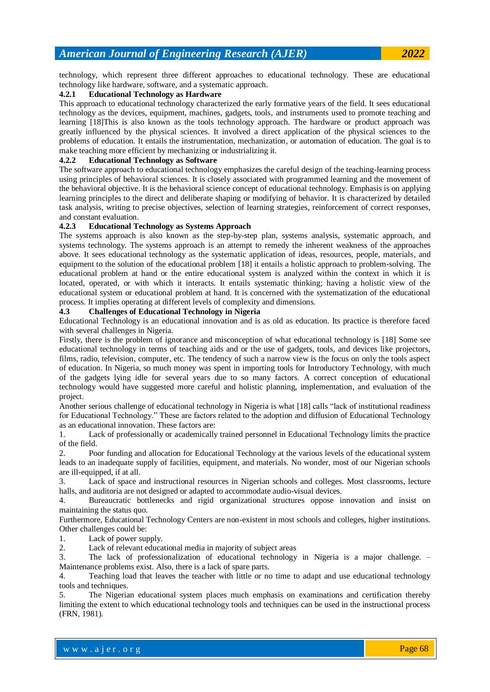technology, which represent three different approaches to educational technology. These are educational technology like hardware, software, and a systematic approach.

# **4.2.1 Educational Technology as Hardware**

This approach to educational technology characterized the early formative years of the field. It sees educational technology as the devices, equipment, machines, gadgets, tools, and instruments used to promote teaching and learning [\[18\]T](#page-7-11)his is also known as the tools technology approach. The hardware or product approach was greatly influenced by the physical sciences. It involved a direct application of the physical sciences to the problems of education. It entails the instrumentation, mechanization, or automation of education. The goal is to make teaching more efficient by mechanizing or industrializing it.

# **4.2.2 Educational Technology as Software**

The software approach to educational technology emphasizes the careful design of the teaching-learning process using principles of behavioral sciences. It is closely associated with programmed learning and the movement of the behavioral objective. It is the behavioral science concept of educational technology. Emphasis is on applying learning principles to the direct and deliberate shaping or modifying of behavior. It is characterized by detailed task analysis, writing to precise objectives, selection of learning strategies, reinforcement of correct responses, and constant evaluation.

#### **4.2.3 Educational Technology as Systems Approach**

The systems approach is also known as the step-by-step plan, systems analysis, systematic approach, and systems technology. The systems approach is an attempt to remedy the inherent weakness of the approaches above. It sees educational technology as the systematic application of ideas, resources, people, materials, and equipment to the solution of the educational problem [\[18\]](#page-7-11) it entails a holistic approach to problem-solving. The educational problem at hand or the entire educational system is analyzed within the context in which it is located, operated, or with which it interacts. It entails systematic thinking; having a holistic view of the educational system or educational problem at hand. It is concerned with the systematization of the educational process. It implies operating at different levels of complexity and dimensions.

#### **4.3 Challenges of Educational Technology in Nigeria**

Educational Technology is an educational innovation and is as old as education. Its practice is therefore faced with several challenges in Nigeria.

Firstly, there is the problem of ignorance and misconception of what educational technology is [\[18\]](#page-7-11) Some see educational technology in terms of teaching aids and or the use of gadgets, tools, and devices like projectors, films, radio, television, computer, etc. The tendency of such a narrow view is the focus on only the tools aspect of education. In Nigeria, so much money was spent in importing tools for Introductory Technology, with much of the gadgets lying idle for several years due to so many factors. A correct conception of educational technology would have suggested more careful and holistic planning, implementation, and evaluation of the project.

Another serious challenge of educational technology in Nigeria is wha[t \[18\]](#page-7-11) calls "lack of institutional readiness for Educational Technology." These are factors related to the adoption and diffusion of Educational Technology as an educational innovation. These factors are:

1. Lack of professionally or academically trained personnel in Educational Technology limits the practice of the field.

2. Poor funding and allocation for Educational Technology at the various levels of the educational system leads to an inadequate supply of facilities, equipment, and materials. No wonder, most of our Nigerian schools are ill-equipped, if at all.

3. Lack of space and instructional resources in Nigerian schools and colleges. Most classrooms, lecture halls, and auditoria are not designed or adapted to accommodate audio-visual devices.

4. Bureaucratic bottlenecks and rigid organizational structures oppose innovation and insist on maintaining the status quo.

Furthermore, Educational Technology Centers are non-existent in most schools and colleges, higher institutions. Other challenges could be:

1. Lack of power supply.

2. Lack of relevant educational media in majority of subject areas

3. The lack of professionalization of educational technology in Nigeria is a major challenge. – Maintenance problems exist. Also, there is a lack of spare parts.

4. Teaching load that leaves the teacher with little or no time to adapt and use educational technology tools and techniques.

5. The Nigerian educational system places much emphasis on examinations and certification thereby limiting the extent to which educational technology tools and techniques can be used in the instructional process (FRN, 1981).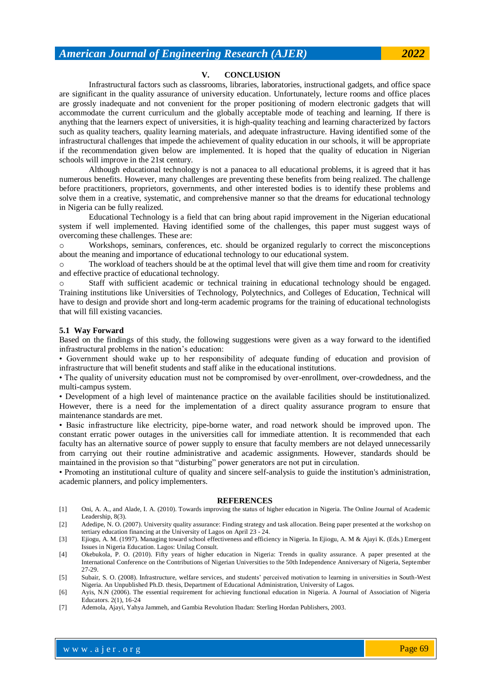**V. CONCLUSION**

Infrastructural factors such as classrooms, libraries, laboratories, instructional gadgets, and office space are significant in the quality assurance of university education. Unfortunately, lecture rooms and office places are grossly inadequate and not convenient for the proper positioning of modern electronic gadgets that will accommodate the current curriculum and the globally acceptable mode of teaching and learning. If there is anything that the learners expect of universities, it is high-quality teaching and learning characterized by factors such as quality teachers, quality learning materials, and adequate infrastructure. Having identified some of the infrastructural challenges that impede the achievement of quality education in our schools, it will be appropriate if the recommendation given below are implemented. It is hoped that the quality of education in Nigerian schools will improve in the 21st century.

Although educational technology is not a panacea to all educational problems, it is agreed that it has numerous benefits. However, many challenges are preventing these benefits from being realized. The challenge before practitioners, proprietors, governments, and other interested bodies is to identify these problems and solve them in a creative, systematic, and comprehensive manner so that the dreams for educational technology in Nigeria can be fully realized.

Educational Technology is a field that can bring about rapid improvement in the Nigerian educational system if well implemented. Having identified some of the challenges, this paper must suggest ways of overcoming these challenges. These are:

o Workshops, seminars, conferences, etc. should be organized regularly to correct the misconceptions about the meaning and importance of educational technology to our educational system.

o The workload of teachers should be at the optimal level that will give them time and room for creativity and effective practice of educational technology.

o Staff with sufficient academic or technical training in educational technology should be engaged. Training institutions like Universities of Technology, Polytechnics, and Colleges of Education, Technical will have to design and provide short and long-term academic programs for the training of educational technologists that will fill existing vacancies.

#### **5.1 Way Forward**

Based on the findings of this study, the following suggestions were given as a way forward to the identified infrastructural problems in the nation's education:

• Government should wake up to her responsibility of adequate funding of education and provision of infrastructure that will benefit students and staff alike in the educational institutions.

• The quality of university education must not be compromised by over-enrollment, over-crowdedness, and the multi-campus system.

• Development of a high level of maintenance practice on the available facilities should be institutionalized. However, there is a need for the implementation of a direct quality assurance program to ensure that maintenance standards are met.

• Basic infrastructure like electricity, pipe-borne water, and road network should be improved upon. The constant erratic power outages in the universities call for immediate attention. It is recommended that each faculty has an alternative source of power supply to ensure that faculty members are not delayed unnecessarily from carrying out their routine administrative and academic assignments. However, standards should be maintained in the provision so that "disturbing" power generators are not put in circulation.

• Promoting an institutional culture of quality and sincere self-analysis to guide the institution's administration, academic planners, and policy implementers.

#### **REFERENCES**

- <span id="page-6-0"></span>[1] Oni, A. A., and Alade, I. A. (2010). Towards improving the status of higher education in Nigeria. The Online Journal of Academic Leadership, 8(3).
- <span id="page-6-1"></span>[2] Adedipe, N. O. (2007). University quality assurance: Finding strategy and task allocation. Being paper presented at the workshop on tertiary education financing at the University of Lagos on April 23 - 24.
- <span id="page-6-2"></span>[3] Ejiogu, A. M. (1997). Managing toward school effectiveness and efficiency in Nigeria. In Ejiogu, A. M & Ajayi K. (Eds.) Emergent Issues in Nigeria Education. Lagos: Unilag Consult.
- <span id="page-6-3"></span>[4] Okebukola, P. O. (2010). Fifty years of higher education in Nigeria: Trends in quality assurance. A paper presented at the International Conference on the Contributions of Nigerian Universities to the 50th Independence Anniversary of Nigeria, September 27-29.
- <span id="page-6-4"></span>[5] Subair, S. O. (2008). Infrastructure, welfare services, and students' perceived motivation to learning in universities in South-West Nigeria. An Unpublished Ph.D. thesis, Department of Educational Administration, University of Lagos.
- <span id="page-6-5"></span>[6] Ayis, N.N (2006). The essential requirement for achieving functional education in Nigeria. A Journal of Association of Nigeria Educators. 2(1), 16-24
- <span id="page-6-6"></span>[7] Ademola, Ajayi, Yahya Jammeh, and Gambia Revolution Ibadan: Sterling Hordan Publishers, 2003.